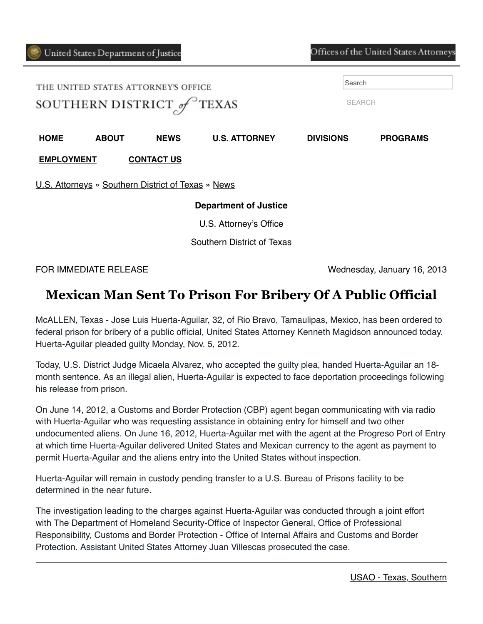**[EMPLOYMENT](https://www.justice.gov/usao-sdtx/employment) [CONTACT US](https://www.justice.gov/usao-sdtx/contact-us)**

| THE UNITED STATES ATTORNEY'S OFFICE<br>SOUTHERN DISTRICT of TEXAS |  |  |  | Search<br><b>SEARCH</b> |  |
|-------------------------------------------------------------------|--|--|--|-------------------------|--|
|                                                                   |  |  |  |                         |  |

[U.S. Attorneys](https://www.justice.gov/usao) » [Southern District of Texas](https://www.justice.gov/usao-sdtx) » [News](https://www.justice.gov/usao-sdtx/pr)

## **Department of Justice**

U.S. Attorney's Office

Southern District of Texas

FOR IMMEDIATE RELEASE Wednesday, January 16, 2013

## **Mexican Man Sent To Prison For Bribery Of A Public Official**

McALLEN, Texas - Jose Luis Huerta-Aguilar, 32, of Rio Bravo, Tamaulipas, Mexico, has been ordered to federal prison for bribery of a public official, United States Attorney Kenneth Magidson announced today. Huerta-Aguilar pleaded guilty Monday, Nov. 5, 2012.

Today, U.S. District Judge Micaela Alvarez, who accepted the guilty plea, handed Huerta-Aguilar an 18 month sentence. As an illegal alien, Huerta-Aguilar is expected to face deportation proceedings following his release from prison.

On June 14, 2012, a Customs and Border Protection (CBP) agent began communicating with via radio with Huerta-Aguilar who was requesting assistance in obtaining entry for himself and two other undocumented aliens. On June 16, 2012, Huerta-Aguilar met with the agent at the Progreso Port of Entry at which time Huerta-Aguilar delivered United States and Mexican currency to the agent as payment to permit Huerta-Aguilar and the aliens entry into the United States without inspection.

Huerta-Aguilar will remain in custody pending transfer to a U.S. Bureau of Prisons facility to be determined in the near future.

The investigation leading to the charges against Huerta-Aguilar was conducted through a joint effort with The Department of Homeland Security-Office of Inspector General, Office of Professional Responsibility, Customs and Border Protection - Office of Internal Affairs and Customs and Border Protection. Assistant United States Attorney Juan Villescas prosecuted the case.

Offices of the United States Attorneys